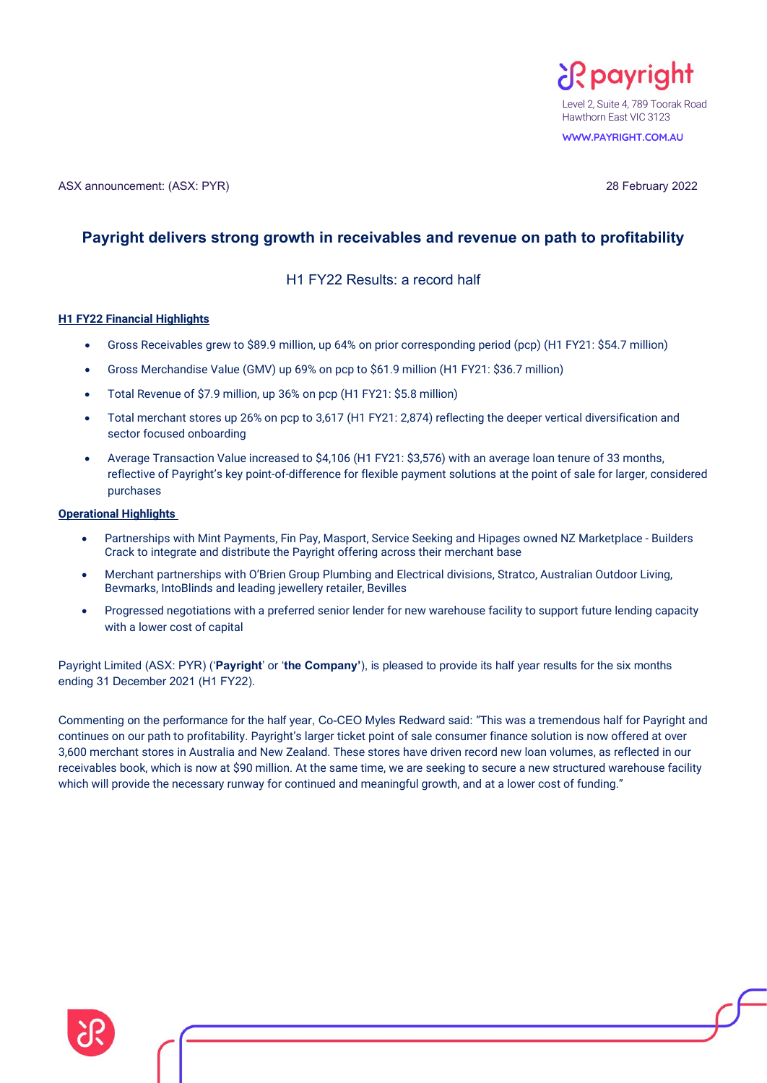

**WWW.PAYRIGHT.COM.AU**

# **Payright delivers strong growth in receivables and revenue on path to profitability**

H1 FY22 Results: a record half

# **H1 FY22 Financial Highlights**

- Gross Receivables grew to \$89.9 million, up 64% on prior corresponding period (pcp) (H1 FY21: \$54.7 million)
- Gross Merchandise Value (GMV) up 69% on pcp to \$61.9 million (H1 FY21: \$36.7 million)
- Total Revenue of \$7.9 million, up 36% on pcp (H1 FY21: \$5.8 million)
- Total merchant stores up 26% on pcp to 3,617 (H1 FY21: 2,874) reflecting the deeper vertical diversification and sector focused onboarding
- Average Transaction Value increased to \$4,106 (H1 FY21: \$3,576) with an average loan tenure of 33 months, reflective of Payright's key point-of-difference for flexible payment solutions at the point of sale for larger, considered purchases

### **Operational Highlights**

- Partnerships with Mint Payments, Fin Pay, Masport, Service Seeking and Hipages owned NZ Marketplace Builders Crack to integrate and distribute the Payright offering across their merchant base
- Merchant partnerships with O'Brien Group Plumbing and Electrical divisions, Stratco, Australian Outdoor Living, Bevmarks, IntoBlinds and leading jewellery retailer, Bevilles
- Progressed negotiations with a preferred senior lender for new warehouse facility to support future lending capacity with a lower cost of capital

Payright Limited (ASX: PYR) ('**Payright**' or '**the Company'**), is pleased to provide its half year results for the six months ending 31 December 2021 (H1 FY22).

Commenting on the performance for the half year, Co-CEO Myles Redward said: "This was a tremendous half for Payright and continues on our path to profitability. Payright's larger ticket point of sale consumer finance solution is now offered at over 3,600 merchant stores in Australia and New Zealand. These stores have driven record new loan volumes, as reflected in our receivables book, which is now at \$90 million. At the same time, we are seeking to secure a new structured warehouse facility which will provide the necessary runway for continued and meaningful growth, and at a lower cost of funding."

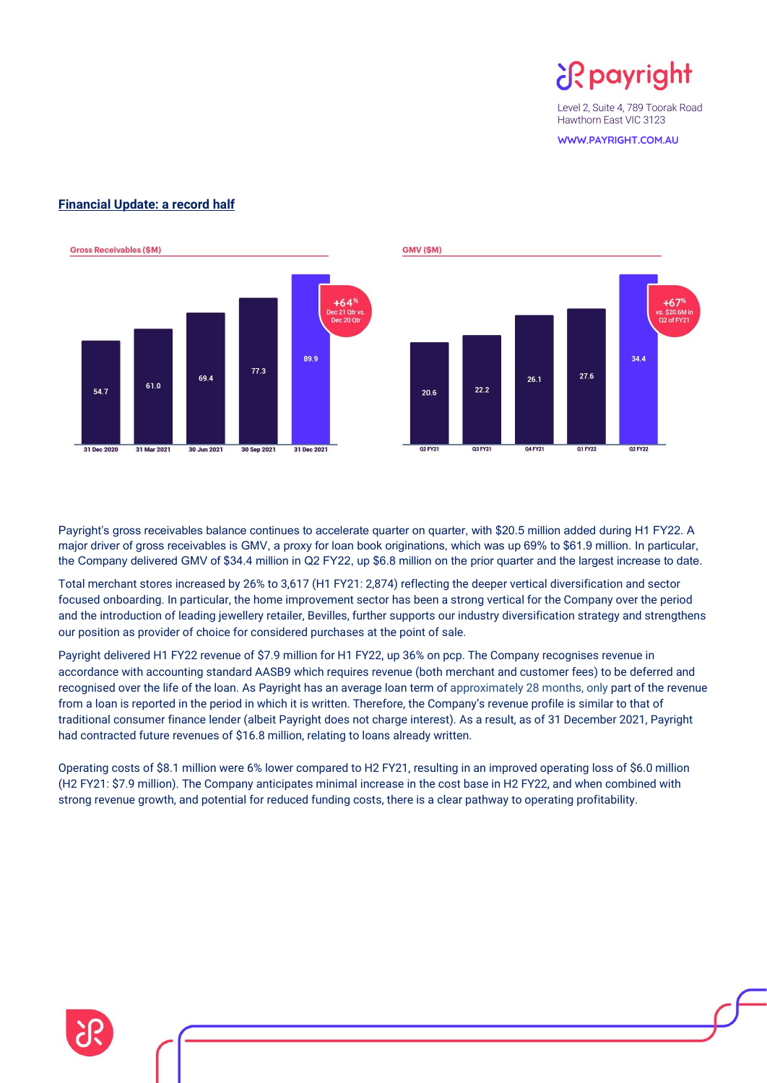¿R payright

Level 2, Suite 4, 789 Toorak Road Hawthorn East VIC 3123

**WWW.PAYRIGHT.COM.AU**



# **Financial Update: a record half**



Payright's gross receivables balance continues to accelerate quarter on quarter, with \$20.5 million added during H1 FY22. A major driver of gross receivables is GMV, a proxy for loan book originations, which was up 69% to \$61.9 million. In particular, the Company delivered GMV of \$34.4 million in Q2 FY22, up \$6.8 million on the prior quarter and the largest increase to date.

Total merchant stores increased by 26% to 3,617 (H1 FY21: 2,874) reflecting the deeper vertical diversification and sector focused onboarding. In particular, the home improvement sector has been a strong vertical for the Company over the period and the introduction of leading jewellery retailer, Bevilles, further supports our industry diversification strategy and strengthens our position as provider of choice for considered purchases at the point of sale.

Payright delivered H1 FY22 revenue of \$7.9 million for H1 FY22, up 36% on pcp. The Company recognises revenue in accordance with accounting standard AASB9 which requires revenue (both merchant and customer fees) to be deferred and recognised over the life of the loan. As Payright has an average loan term of approximately 28 months, only part of the revenue from a loan is reported in the period in which it is written. Therefore, the Company's revenue profile is similar to that of traditional consumer finance lender (albeit Payright does not charge interest). As a result, as of 31 December 2021, Payright had contracted future revenues of \$16.8 million, relating to loans already written.

Operating costs of \$8.1 million were 6% lower compared to H2 FY21, resulting in an improved operating loss of \$6.0 million (H2 FY21: \$7.9 million). The Company anticipates minimal increase in the cost base in H2 FY22, and when combined with strong revenue growth, and potential for reduced funding costs, there is a clear pathway to operating profitability.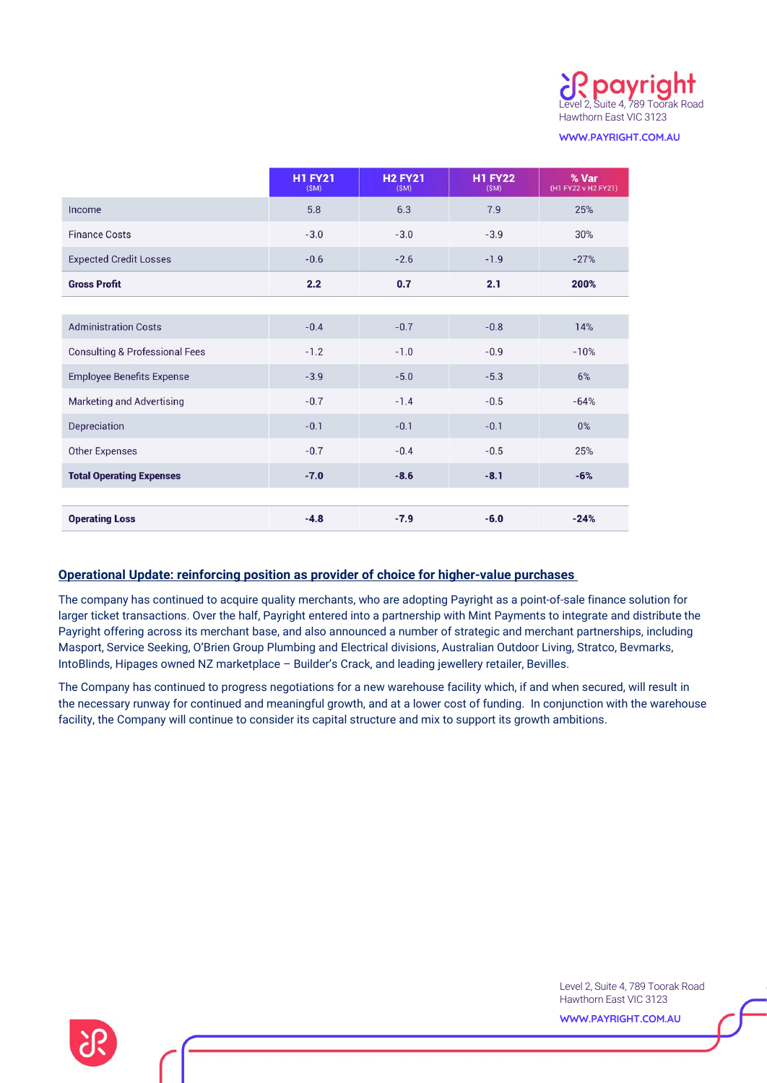

**WWW.PAYRIGHT.COM.AU**

|                                           | <b>H1 FY21</b><br>(SM) | <b>H2 FY21</b><br>(SM) | <b>H1 FY22</b><br>(SM) | % Var<br>(H1 FY22 v H2 FY21) |
|-------------------------------------------|------------------------|------------------------|------------------------|------------------------------|
| Income                                    | 5.8                    | 6.3                    | 7.9                    | 25%                          |
| <b>Finance Costs</b>                      | $-3.0$                 | $-3.0$                 | $-3.9$                 | 30%                          |
| <b>Expected Credit Losses</b>             | $-0.6$                 | $-2.6$                 | $-1.9$                 | $-27%$                       |
| <b>Gross Profit</b>                       | 2.2                    | 0.7                    | 2.1                    | 200%                         |
|                                           |                        |                        |                        |                              |
| <b>Administration Costs</b>               | $-0.4$                 | $-0.7$                 | $-0.8$                 | 14%                          |
| <b>Consulting &amp; Professional Fees</b> | $-1.2$                 | $-1.0$                 | $-0.9$                 | $-10%$                       |
| <b>Employee Benefits Expense</b>          | $-3.9$                 | $-5.0$                 | $-5.3$                 | 6%                           |
| <b>Marketing and Advertising</b>          | $-0.7$                 | $-1.4$                 | $-0.5$                 | $-64%$                       |
| Depreciation                              | $-0.1$                 | $-0.1$                 | $-0.1$                 | $0\%$                        |
| <b>Other Expenses</b>                     | $-0.7$                 | $-0.4$                 | $-0.5$                 | 25%                          |
| <b>Total Operating Expenses</b>           | $-7.0$                 | $-8.6$                 | $-8.1$                 | $-6%$                        |
|                                           |                        |                        |                        |                              |
| <b>Operating Loss</b>                     | $-4.8$                 | $-7.9$                 | $-6.0$                 | $-24%$                       |

# **Operational Update: reinforcing position as provider of choice for higher-value purchases**

The company has continued to acquire quality merchants, who are adopting Payright as a point-of-sale finance solution for larger ticket transactions. Over the half, Payright entered into a partnership with Mint Payments to integrate and distribute the Payright offering across its merchant base, and also announced a number of strategic and merchant partnerships, including Masport, Service Seeking, O'Brien Group Plumbing and Electrical divisions, Australian Outdoor Living, Stratco, Bevmarks, IntoBlinds, Hipages owned NZ marketplace – Builder's Crack, and leading jewellery retailer, Bevilles.

The Company has continued to progress negotiations for a new warehouse facility which, if and when secured, will result in the necessary runway for continued and meaningful growth, and at a lower cost of funding. In conjunction with the warehouse facility, the Company will continue to consider its capital structure and mix to support its growth ambitions.

> Level 2, Suite 4, 789 Toorak Road Hawthorn East VIC 3123

**WWW.PAYRIGHT.COM.AU**